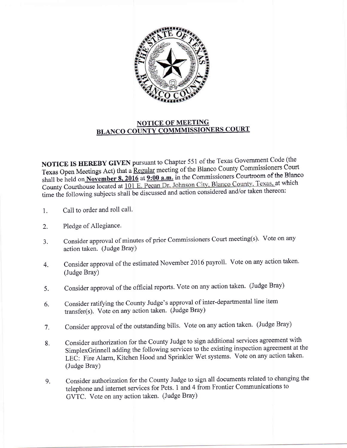

## NOTICE OF MEETING BLANCO COUNTY COMMMISSIONERS COURT

NOTICE IS HEREBY GIVEN pursuant to Chapter 551 of the Texas Government Code (the Texas Open Meetings Act) that a Regular meeting of the Blanco County Commissioners Court Texas Open Meetings Act) that a <u>Regular</u> meeting of the Blanco County Commissioners Court<br>shall be held on **November 8, 2016** at 9:00 **a.m.** in the Commissioners Courtroom of the Blanco<br>Courty Courthouse located at 101 F. County Courthouse located at 101 E. Pecan Dr. Johnson City, Blanco County, Texas, at which time the following subjects shall be discussed and action considered and/or taken thereon:

- 1. Call to order and roll call.
- 2. Pledge of Allegiance.
- a J. Consider approval of minutes of prior Commissioners Court meeting(s). Vote on any action taken. (Judge BraY)
- 4. Consider approval of the estimated November 2016 payroll. Vote on any action taken. (Judge Bray)
- 5. Consider approval of the official reports. Vote on any action taken' (Judge Bray)
- 6. Consider ratifying the County Judge's approval of inter-departmental line item transfer(s). Vote on any action taken. (Judge Bray)
- 7. Consider approval of the outstanding bills. Vote on any action taken' (Judge Bray)
- 8. Consider authorization for the County Judge to sign additional services agreement with SimplexGrinnell adding the following services to the existing inspection agreement at the LEC: Fire Alarm, Kitchen Hood and Sprinkler Wet systems. Vote on any action taken. (Judge Bray)
- Consider authorization for the County Judge to sign all documents related to changing the telephone and internet services for Pcts. I and 4 from Frontier Communications to GVTC. Vote on any action taken. (Judge Bray) 9.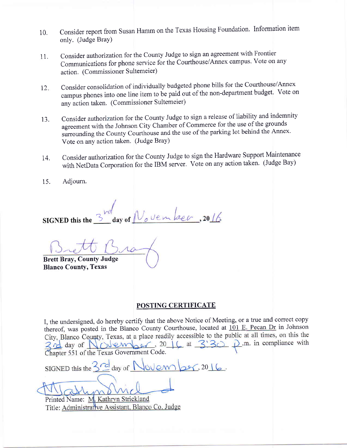- 10. consider report from Susan Hamm on the Texas Housing Foundation. Information item only. (Judge Bray)
- 11. Consider authorization for the County Judge to sign an agreement with Frontier Communications for phone service for the Courthouse/Annex campus. Vote on any action. (Commissioner Sultemeier)
- $12.$ Consider consolidation of individually budgeted phone biils for the Courthouse/Annex campus phones into one line item to be paid out of the non-department budget. Vote on any action taken. (Commissioner Sultemeier)
- 13. Consider authorization for the County Judge to sign a reiease of liability and indemnity agreement with the Johnson city chamber of commerce for the use of the grounds surrounding the County Courthouse and the use of the parking lot behind the Annex. Vote on any action taken. (Judge Bray)
- 14. consider authorization for the county Judge to sign the Hardware support Maintenance with NetData Corporation for the IBM server. Vote on any action taken. (Judge Bay)
- 15. Adjourn.

ovember, 2016 ?- SIGNED this the

Brett Bray, County Judge Blanco Counfy, Texas

## POSTING CERTIFICATE

I, the undersigned, do hereby certify that the above Notice of Meeting, or a true and correct copy thereof, was posted in the Blanco County Courthouse, located at  $101$  E. Pecan Dr in Johnson City, Blanco County, Texas, at a place readily accessible to the public at all times, on this the  $\frac{3}{2}$  day of  $\sqrt{\frac{6}{2}}$   $\sqrt{20}$ ,  $\frac{20}{4}$  at  $\frac{3}{3}$   $\sqrt{20}$ . The in compliance with Chapter 551 of the Texas Government Code.

SIGNED this the 3<sup>cd</sup> day of November, 2016.

Printed Name: M. Kathryn Strickland<br>Title: Administrative Assistant, Blanco Co. Judge